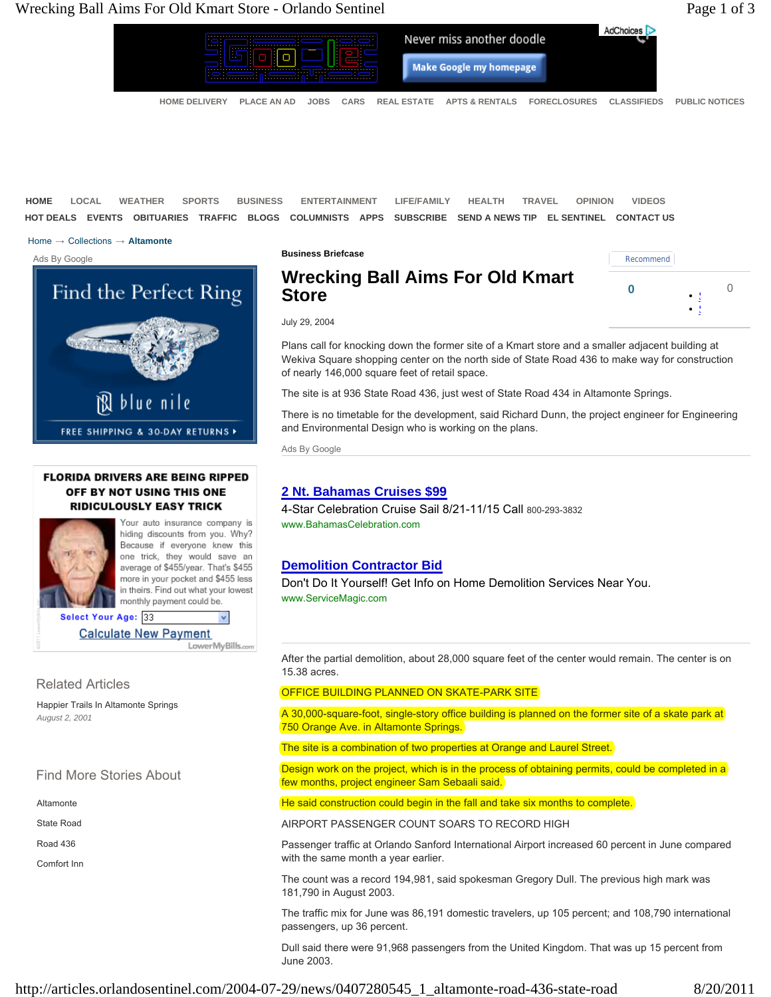

**HOME LOCAL WEATHER SPORTS BUSINESS ENTERTAINMENT LIFE/FAMILY HEALTH TRAVEL OPINION VIDEOS HOT DEALS EVENTS OBITUARIES TRAFFIC BLOGS COLUMNISTS APPS SUBSCRIBE SEND A NEWS TIP EL SENTINEL CONTACT US**

Home → Collections → **Altamonte**

Ads By Google



## **FLORIDA DRIVERS ARE BEING RIPPED** OFF BY NOT USING THIS ONE **RIDICULOUSLY EASY TRICK**



Your auto insurance company is hiding discounts from you. Why? Because if everyone knew this one trick, they would save an average of \$455/year. That's \$455 more in your pocket and \$455 less in theirs. Find out what your lowest monthly payment could be.

Select Your Age: 33  $\checkmark$ **Calculate New Payment** LowerMyBills.com

# Related Articles

Happier Trails In Altamonte Springs *August 2, 2001*

# Find More Stories About

Altamonte

State Road

Road 436

Comfort Inn

**Wrecking Ball Aims For Old Kmart Company of Change Company of Change Company of Change Company of Change Company of Change Company of Change Company of Change Company of Change Company of Change Company of Change Compan Store**



July 29, 2004

**Business Briefcase**

Plans call for knocking down the former site of a Kmart store and a smaller adjacent building at Wekiva Square shopping center on the north side of State Road 436 to make way for construction of nearly 146,000 square feet of retail space.

The site is at 936 State Road 436, just west of State Road 434 in Altamonte Springs.

There is no timetable for the development, said Richard Dunn, the project engineer for Engineering and Environmental Design who is working on the plans.

Ads By Google

# **2 Nt. Bahamas Cruises \$99**

4-Star Celebration Cruise Sail 8/21-11/15 Call 800-293-3832 www.BahamasCelebration.com

# **Demolition Contractor Bid**

Don't Do It Yourself! Get Info on Home Demolition Services Near You. www.ServiceMagic.com

After the partial demolition, about 28,000 square feet of the center would remain. The center is on 15.38 acres.

### OFFICE BUILDING PLANNED ON SKATE-PARK SITE

A 30,000-square-foot, single-story office building is planned on the former site of a skate park at 750 Orange Ave. in Altamonte Springs.

The site is a combination of two properties at Orange and Laurel Street.

Design work on the project, which is in the process of obtaining permits, could be completed in a few months, project engineer Sam Sebaali said.

He said construction could begin in the fall and take six months to complete.

AIRPORT PASSENGER COUNT SOARS TO RECORD HIGH

Passenger traffic at Orlando Sanford International Airport increased 60 percent in June compared with the same month a year earlier.

The count was a record 194,981, said spokesman Gregory Dull. The previous high mark was 181,790 in August 2003.

The traffic mix for June was 86,191 domestic travelers, up 105 percent; and 108,790 international passengers, up 36 percent.

Dull said there were 91,968 passengers from the United Kingdom. That was up 15 percent from June 2003.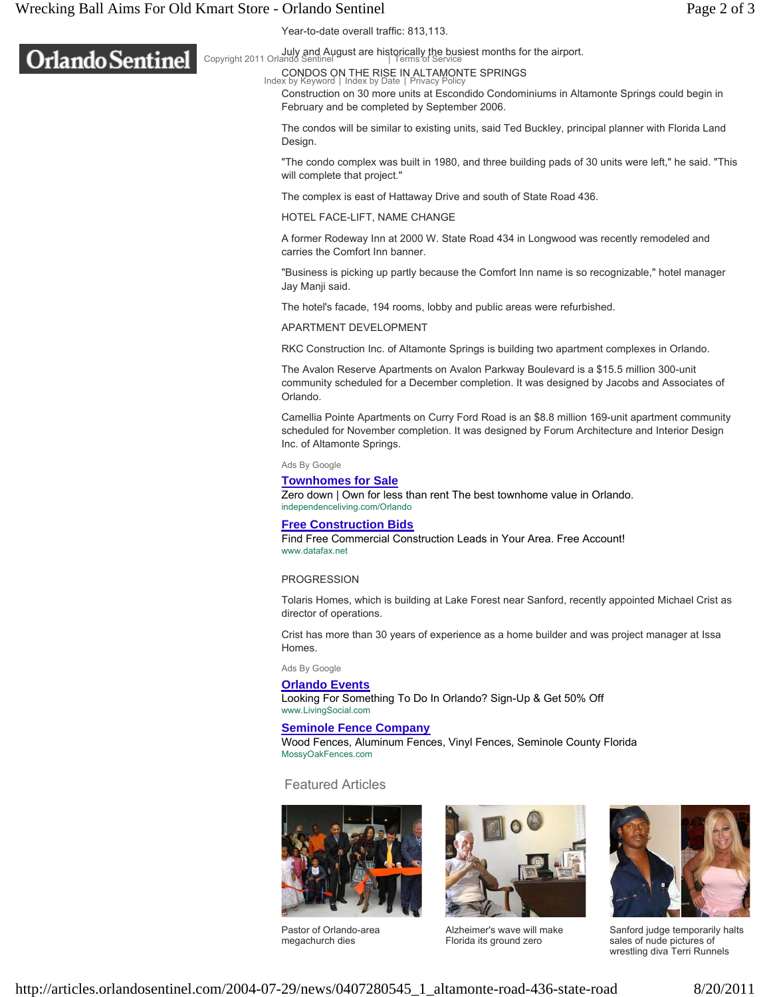# Wrecking Ball Aims For Old Kmart Store - Orlando Sentinel **Page 2** of 3

**Orlando Sentinel** 



July and August are historically the busiest months for the airport. Copyright 2011 Orlando Sentinel Terms of Service |

### CONDOS ON THE RISE IN ALTAMONTE SPRINGS

Construction on 30 more units at Escondido Condominiums in Altamonte Springs could begin in February and be completed by September 2006. Index by Keyword | Index by Date | Privacy Policy

The condos will be similar to existing units, said Ted Buckley, principal planner with Florida Land Design.

"The condo complex was built in 1980, and three building pads of 30 units were left," he said. "This will complete that project."

The complex is east of Hattaway Drive and south of State Road 436.

HOTEL FACE-LIFT, NAME CHANGE

A former Rodeway Inn at 2000 W. State Road 434 in Longwood was recently remodeled and carries the Comfort Inn banner.

"Business is picking up partly because the Comfort Inn name is so recognizable," hotel manager Jay Manji said.

The hotel's facade, 194 rooms, lobby and public areas were refurbished.

APARTMENT DEVELOPMENT

RKC Construction Inc. of Altamonte Springs is building two apartment complexes in Orlando.

The Avalon Reserve Apartments on Avalon Parkway Boulevard is a \$15.5 million 300-unit community scheduled for a December completion. It was designed by Jacobs and Associates of Orlando.

Camellia Pointe Apartments on Curry Ford Road is an \$8.8 million 169-unit apartment community scheduled for November completion. It was designed by Forum Architecture and Interior Design Inc. of Altamonte Springs.

Ads By Google

**Townhomes for Sale**

Zero down | Own for less than rent The best townhome value in Orlando. independenceliving.com/Orlando

#### **Free Construction Bids**

Find Free Commercial Construction Leads in Your Area. Free Account! www.datafax.net

#### PROGRESSION

Tolaris Homes, which is building at Lake Forest near Sanford, recently appointed Michael Crist as director of operations.

Crist has more than 30 years of experience as a home builder and was project manager at Issa Homes.

Ads By Google

#### **Orlando Events**

Looking For Something To Do In Orlando? Sign-Up & Get 50% Off www.LivingSocial.com

## **Seminole Fence Company**

Wood Fences, Aluminum Fences, Vinyl Fences, Seminole County Florida MossyOakFences.com

### Featured Articles



Pastor of Orlando-area megachurch dies



Alzheimer's wave will make Florida its ground zero



Sanford judge temporarily halts sales of nude pictures of wrestling diva Terri Runnels